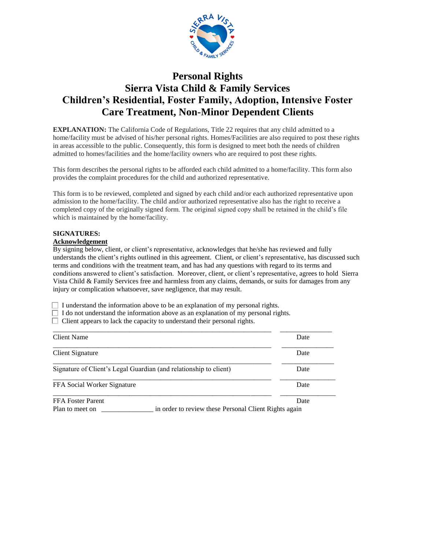

# **Personal Rights Sierra Vista Child & Family Services Children's Residential, Foster Family, Adoption, Intensive Foster Care Treatment, Non-Minor Dependent Clients**

**EXPLANATION:** The California Code of Regulations, Title 22 requires that any child admitted to a home/facility must be advised of his/her personal rights. Homes/Facilities are also required to post these rights in areas accessible to the public. Consequently, this form is designed to meet both the needs of children admitted to homes/facilities and the home/facility owners who are required to post these rights.

This form describes the personal rights to be afforded each child admitted to a home/facility. This form also provides the complaint procedures for the child and authorized representative.

This form is to be reviewed, completed and signed by each child and/or each authorized representative upon admission to the home/facility. The child and/or authorized representative also has the right to receive a completed copy of the originally signed form. The original signed copy shall be retained in the child's file which is maintained by the home/facility.

### **SIGNATURES:**

### **Acknowledgement**

By signing below, client, or client's representative, acknowledges that he/she has reviewed and fully understands the client's rights outlined in this agreement. Client, or client's representative, has discussed such terms and conditions with the treatment team, and has had any questions with regard to its terms and conditions answered to client's satisfaction. Moreover, client, or client's representative, agrees to hold Sierra Vista Child & Family Services free and harmless from any claims, demands, or suits for damages from any injury or complication whatsoever, save negligence, that may result.

 $\Box$  I understand the information above to be an explanation of my personal rights.

- $\Box$  I do not understand the information above as an explanation of my personal rights.
- $\Box$  Client appears to lack the capacity to understand their personal rights.

| Client Name                                                       |                                                       | Date |
|-------------------------------------------------------------------|-------------------------------------------------------|------|
| Client Signature                                                  |                                                       | Date |
| Signature of Client's Legal Guardian (and relationship to client) |                                                       | Date |
| FFA Social Worker Signature                                       |                                                       | Date |
| <b>FFA Foster Parent</b>                                          |                                                       | Date |
| Plan to meet on                                                   | in order to review these Personal Client Rights again |      |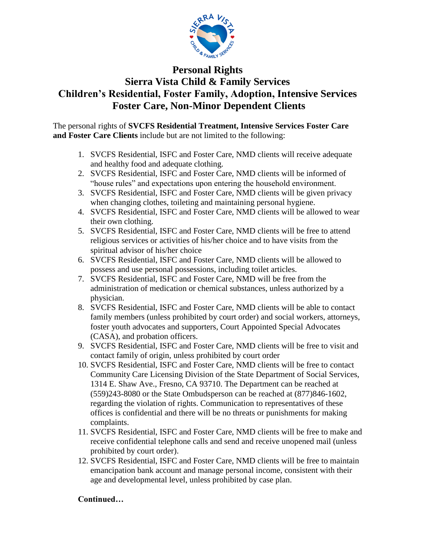

# **Personal Rights Sierra Vista Child & Family Services Children's Residential, Foster Family, Adoption, Intensive Services Foster Care, Non-Minor Dependent Clients**

The personal rights of **SVCFS Residential Treatment, Intensive Services Foster Care and Foster Care Clients** include but are not limited to the following:

- 1. SVCFS Residential, ISFC and Foster Care, NMD clients will receive adequate and healthy food and adequate clothing.
- 2. SVCFS Residential, ISFC and Foster Care, NMD clients will be informed of "house rules" and expectations upon entering the household environment.
- 3. SVCFS Residential, ISFC and Foster Care, NMD clients will be given privacy when changing clothes, toileting and maintaining personal hygiene.
- 4. SVCFS Residential, ISFC and Foster Care, NMD clients will be allowed to wear their own clothing.
- 5. SVCFS Residential, ISFC and Foster Care, NMD clients will be free to attend religious services or activities of his/her choice and to have visits from the spiritual advisor of his/her choice
- 6. SVCFS Residential, ISFC and Foster Care, NMD clients will be allowed to possess and use personal possessions, including toilet articles.
- 7. SVCFS Residential, ISFC and Foster Care, NMD will be free from the administration of medication or chemical substances, unless authorized by a physician.
- 8. SVCFS Residential, ISFC and Foster Care, NMD clients will be able to contact family members (unless prohibited by court order) and social workers, attorneys, foster youth advocates and supporters, Court Appointed Special Advocates (CASA), and probation officers.
- 9. SVCFS Residential, ISFC and Foster Care, NMD clients will be free to visit and contact family of origin, unless prohibited by court order
- 10. SVCFS Residential, ISFC and Foster Care, NMD clients will be free to contact Community Care Licensing Division of the State Department of Social Services, 1314 E. Shaw Ave., Fresno, CA 93710. The Department can be reached at (559)243-8080 or the State Ombudsperson can be reached at (877)846-1602, regarding the violation of rights. Communication to representatives of these offices is confidential and there will be no threats or punishments for making complaints.
- 11. SVCFS Residential, ISFC and Foster Care, NMD clients will be free to make and receive confidential telephone calls and send and receive unopened mail (unless prohibited by court order).
- 12. SVCFS Residential, ISFC and Foster Care, NMD clients will be free to maintain emancipation bank account and manage personal income, consistent with their age and developmental level, unless prohibited by case plan.

## **Continued…**